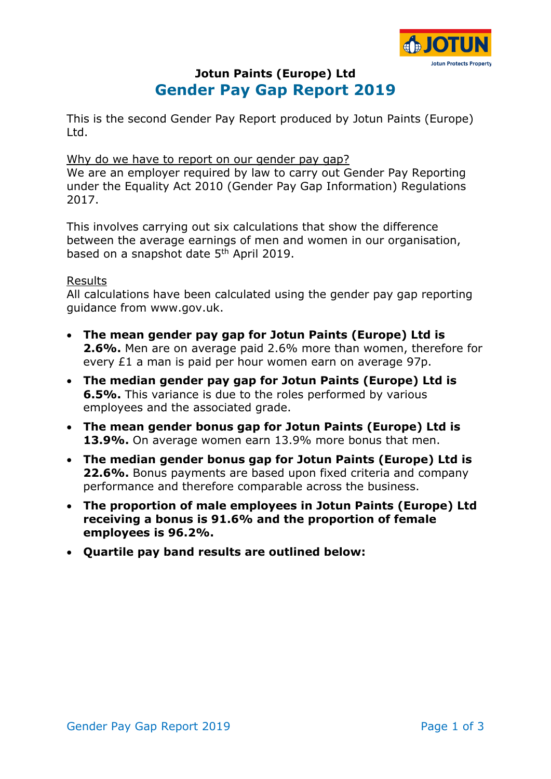

# **Jotun Paints (Europe) Ltd Gender Pay Gap Report 2019**

This is the second Gender Pay Report produced by Jotun Paints (Europe) Ltd.

#### Why do we have to report on our gender pay gap?

We are an employer required by law to carry out Gender Pay Reporting under the Equality Act 2010 (Gender Pay Gap Information) Regulations 2017.

This involves carrying out six calculations that show the difference between the average earnings of men and women in our organisation, based on a snapshot date 5<sup>th</sup> April 2019.

#### Results

All calculations have been calculated using the gender pay gap reporting guidance from www.gov.uk.

- **The mean gender pay gap for Jotun Paints (Europe) Ltd is 2.6%.** Men are on average paid 2.6% more than women, therefore for every £1 a man is paid per hour women earn on average 97p.
- **The median gender pay gap for Jotun Paints (Europe) Ltd is 6.5%.** This variance is due to the roles performed by various employees and the associated grade.
- **The mean gender bonus gap for Jotun Paints (Europe) Ltd is 13.9%.** On average women earn 13.9% more bonus that men.
- **The median gender bonus gap for Jotun Paints (Europe) Ltd is 22.6%.** Bonus payments are based upon fixed criteria and company performance and therefore comparable across the business.
- **The proportion of male employees in Jotun Paints (Europe) Ltd receiving a bonus is 91.6% and the proportion of female employees is 96.2%.**
- **Quartile pay band results are outlined below:**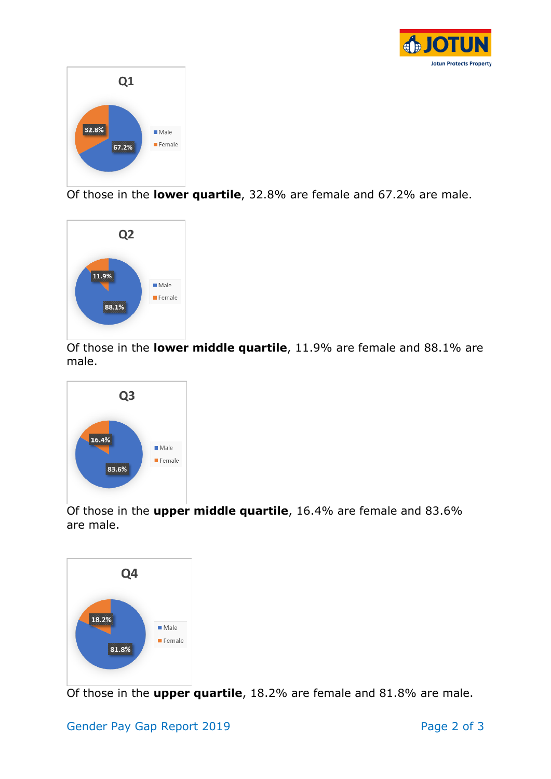



Of those in the **lower quartile**, 32.8% are female and 67.2% are male.



Of those in the **lower middle quartile**, 11.9% are female and 88.1% are male.



Of those in the **upper middle quartile**, 16.4% are female and 83.6% are male.



Of those in the **upper quartile**, 18.2% are female and 81.8% are male.